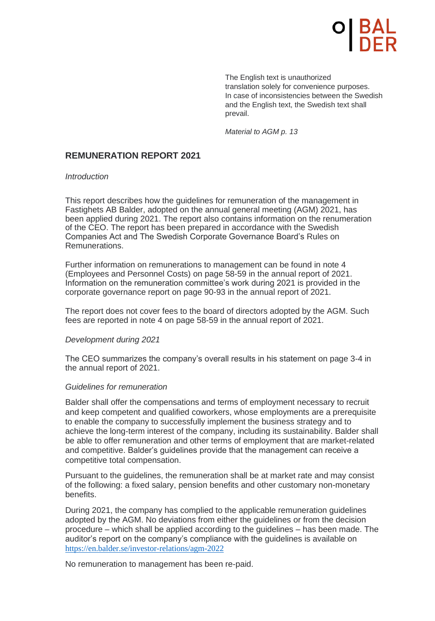The English text is unauthorized translation solely for convenience purposes. In case of inconsistencies between the Swedish and the English text, the Swedish text shall prevail.

*Material to AGM p. 13*

# **REMUNERATION REPORT 2021**

### *Introduction*

This report describes how the guidelines for remuneration of the management in Fastighets AB Balder, adopted on the annual general meeting (AGM) 2021, has been applied during 2021. The report also contains information on the renumeration of the CEO. The report has been prepared in accordance with the Swedish Companies Act and The Swedish Corporate Governance Board's Rules on Remunerations.

Further information on remunerations to management can be found in note 4 (Employees and Personnel Costs) on page 58-59 in the annual report of 2021. Information on the remuneration committee's work during 2021 is provided in the corporate governance report on page 90-93 in the annual report of 2021.

The report does not cover fees to the board of directors adopted by the AGM. Such fees are reported in note 4 on page 58-59 in the annual report of 2021.

### *Development during 2021*

The CEO summarizes the company's overall results in his statement on page 3-4 in the annual report of 2021.

### *Guidelines for remuneration*

Balder shall offer the compensations and terms of employment necessary to recruit and keep competent and qualified coworkers, whose employments are a prerequisite to enable the company to successfully implement the business strategy and to achieve the long-term interest of the company, including its sustainability. Balder shall be able to offer remuneration and other terms of employment that are market-related and competitive. Balder's guidelines provide that the management can receive a competitive total compensation.

Pursuant to the guidelines, the remuneration shall be at market rate and may consist of the following: a fixed salary, pension benefits and other customary non-monetary benefits.

During 2021, the company has complied to the applicable remuneration guidelines [adopted by the AGM. No deviations from eit](https://en.balder.se/investor-relations/agm-2022)her the guidelines or from the decision procedure – which shall be applied according to the guidelines – has been made. The auditor's report on the company's compliance with the guidelines is available on https://en.balder.se/investor-relations/agm-2022

No remuneration to management has been re-paid.